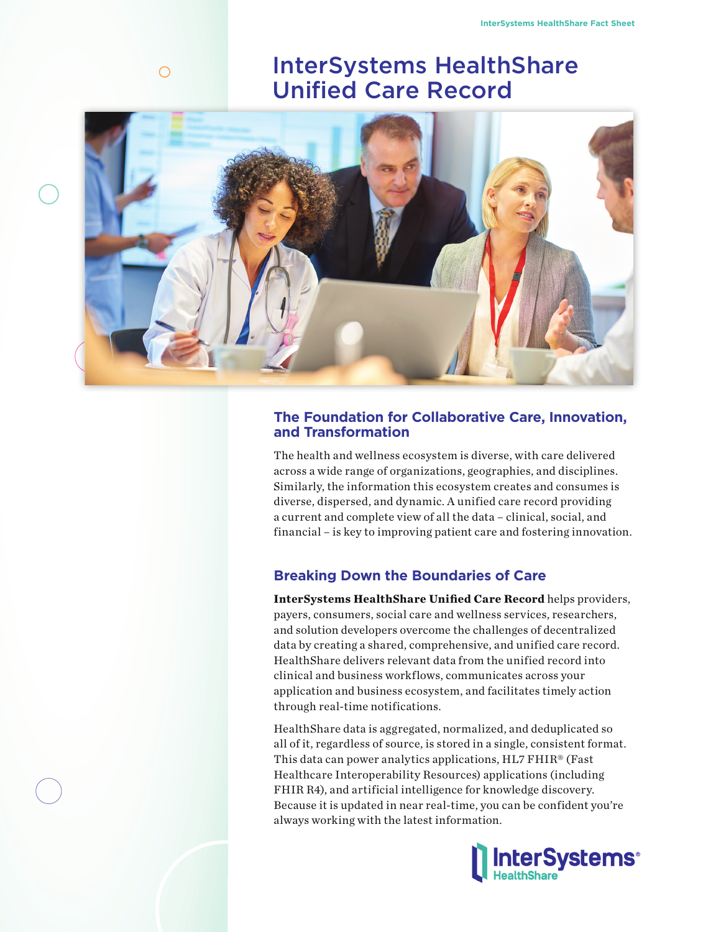# InterSystems HealthShare Unified Care Record



 $\bigcirc$ 

# **The Foundation for Collaborative Care, Innovation, and Transformation**

The health and wellness ecosystem is diverse, with care delivered across a wide range of organizations, geographies, and disciplines. Similarly, the information this ecosystem creates and consumes is diverse, dispersed, and dynamic. A unified care record providing a current and complete view of all the data – clinical, social, and financial – is key to improving patient care and fostering innovation.

# **Breaking Down the Boundaries of Care**

**InterSystems HealthShare Unified Care Record** helps providers, [payers, consumers, social car](https://www.intersystems.com/products/healthshare/)e and wellness services, researchers, and solution developers overcome the challenges of decentralized data by creating a shared, comprehensive, and unified care record. HealthShare delivers relevant data from the unified record into clinical and business workflows, communicates across your application and business ecosystem, and facilitates timely action through real-time notifications.

HealthShare data is aggregated, normalized, and deduplicated so all of it, regardless of source, is stored in a single, consistent format. This data can power analytics applications, HL7 FHIR® (Fast Healthcare Interoperability Resources) applications (including FHIR R4), and artificial intelligence for knowledge discovery. Because it is updated in near real-time, you can be confident you're always working with the latest information.

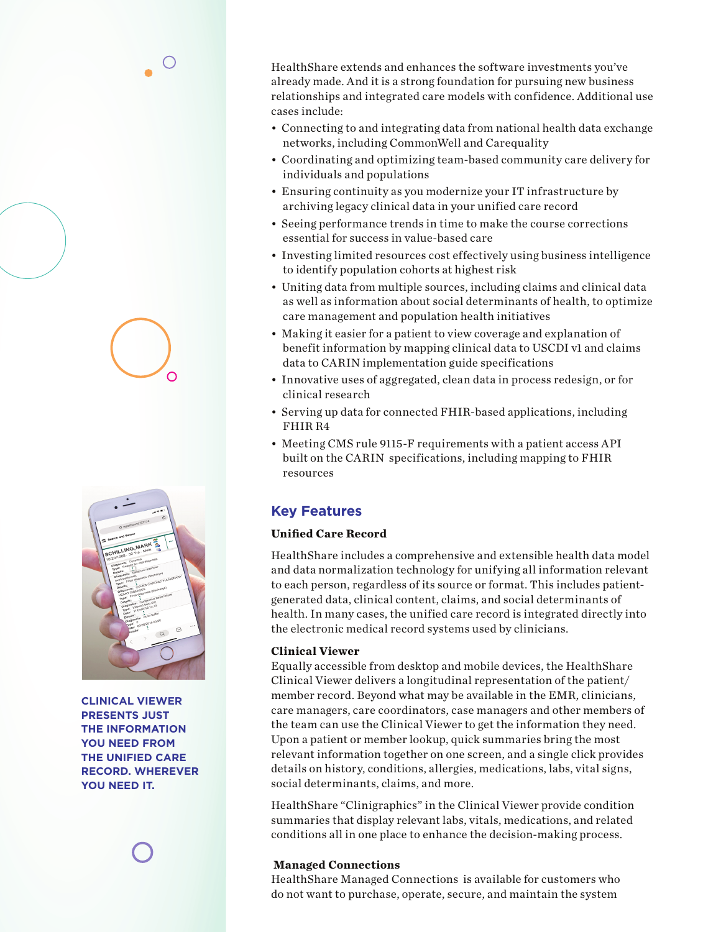HealthShare extends and enhances the software investments you've already made. And it is a strong foundation for pursuing new business relationships and integrated care models with confidence. Additional use cases include:

- Connecting to and integrating data from national health data exchange networks, including CommonWell and Carequality
- Coordinating and optimizing team-based community care delivery for individuals and populations
- Ensuring continuity as you modernize your IT infrastructure by archiving legacy clinical data in your unified care record
- Seeing performance trends in time to make the course corrections essential for success in value-based care
- Investing limited resources cost effectively using business intelligence to identify population cohorts at highest risk
- Uniting data from multiple sources, including claims and clinical data as well as information about social determinants of health, to optimize care management and population health initiatives
- Making it easier for a patient to view coverage and explanation of benefit information by mapping clinical data to USCDI v1 and claims data to CARIN implementation guide specifications
- Innovative uses of aggregated, clean data in process redesign, or for clinical research
- Serving up data for connected FHIR-based applications, including FHIR R4
- Meeting CMS rule 9115-F requirements with a patient access API built on the CARIN specifications, including mapping to FHIR resources

# **Key Features**

# **Unified Care Record**

HealthShare includes a comprehensive and extensible health data model and data normalization technology for unifying all information relevant to each person, regardless of its source or format. This includes patientgenerated data, clinical content, claims, and social determinants of health. In many cases, the unified care record is integrated directly into the electronic medical record systems used by clinicians.

# **Clinical Viewer**

Equally accessible from desktop and mobile devices, the HealthShare Clinical Viewer delivers a longitudinal representation of the patient/ member record. Beyond what may be available in the EMR, clinicians, care managers, care coordinators, case managers and other members of the team can use the Clinical Viewer to get the information they need. Upon a patient or member lookup, quick summaries bring the most relevant information together on one screen, and a single click provides details on history, conditions, allergies, medications, labs, vital signs, social determinants, claims, and more.

HealthShare "Clinigraphics" in the Clinical Viewer provide condition summaries that display relevant labs, vitals, medications, and related conditions all in one place to enhance the decision-making process.

# **Managed Connections**

HealthShare Managed Connections is available for customers who do not want to purchase, operate, secure, and maintain the system



**CLINICAL VIEWER PRESENTS JUST THE INFORMATION YOU NEED FROM THE UNIFIED CARE RECORD. WHEREVER YOU NEED IT.**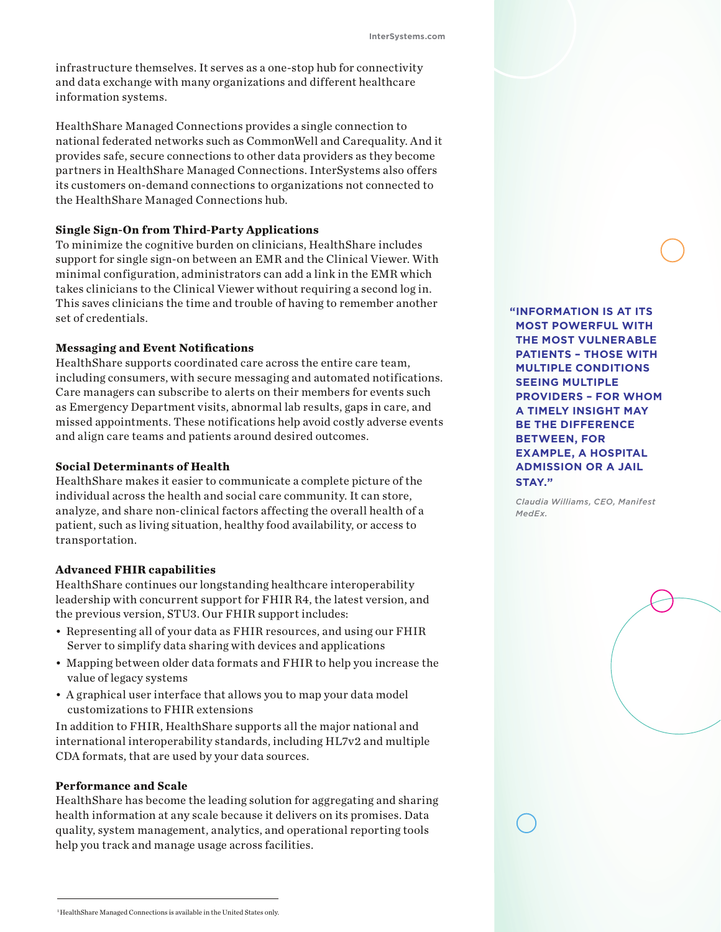infrastructure themselves. It serves as a one-stop hub for connectivity and data exchange with many organizations and different healthcare information systems.

HealthShare Managed Connections provides a single connection to national federated networks such as CommonWell and Carequality. And it provides safe, secure connections to other data providers as they become partners in HealthShare Managed Connections. InterSystems also offers its customers on-demand connections to organizations not connected to the HealthShare Managed Connections hub.

#### **Single Sign-On from Third-Party Applications**

To minimize the cognitive burden on clinicians, HealthShare includes support for single sign-on between an EMR and the Clinical Viewer. With minimal configuration, administrators can add a link in the EMR which takes clinicians to the Clinical Viewer without requiring a second log in. This saves clinicians the time and trouble of having to remember another set of credentials.

### **Messaging and Event Notifications**

HealthShare supports coordinated care across the entire care team, including consumers, with secure messaging and automated notifications. Care managers can subscribe to alerts on their members for events such as Emergency Department visits, abnormal lab results, gaps in care, and missed appointments. These notifications help avoid costly adverse events and align care teams and patients around desired outcomes.

#### **Social Determinants of Health**

HealthShare makes it easier to communicate a complete picture of the individual across the health and social care community. It can store, analyze, and share non-clinical factors affecting the overall health of a patient, such as living situation, healthy food availability, or access to transportation.

#### **Advanced FHIR capabilities**

HealthShare continues our longstanding healthcare interoperability leadership with concurrent support for FHIR R4, the latest version, and the previous version, STU3. Our FHIR support includes:

- Representing all of your data as FHIR resources, and using our FHIR Server to simplify data sharing with devices and applications
- Mapping between older data formats and FHIR to help you increase the value of legacy systems
- A graphical user interface that allows you to map your data model customizations to FHIR extensions

In addition to FHIR, HealthShare supports all the major national and international interoperability standards, including HL7v2 and multiple CDA formats, that are used by your data sources.

#### **Performance and Scale**

HealthShare has become the leading solution for aggregating and sharing health information at any scale because it delivers on its promises. Data quality, system management, analytics, and operational reporting tools help you track and manage usage across facilities.

**"INFORMATION IS AT ITS MOST POWERFUL WITH THE MOST VULNERABLE PATIENTS – THOSE WITH MULTIPLE CONDITIONS SEEING MULTIPLE PROVIDERS – FOR WHOM A TIMELY INSIGHT MAY BE THE DIFFERENCE BETWEEN, FOR EXAMPLE, A HOSPITAL ADMISSION OR A JAIL STAY."** 

*Claudia Williams, CEO, Manifest MedEx.*

<sup>&</sup>lt;sup>1</sup>HealthShare Managed Connections is available in the United States only.